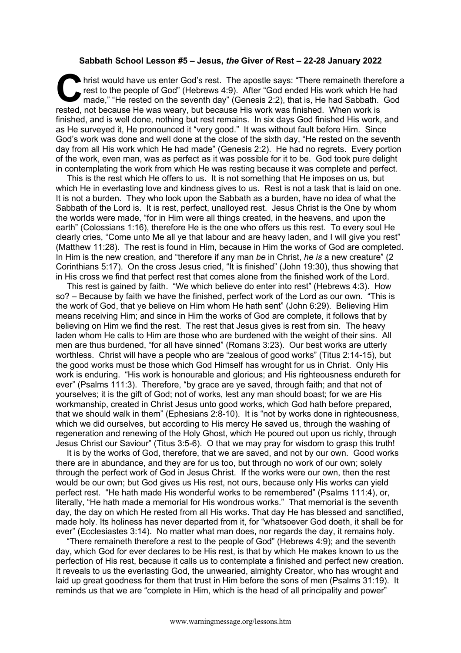## **Sabbath School Lesson #5 – Jesus,** *the* **Giver** *of* **Rest – 22-28 January 2022**

hrist would have us enter God's rest. The apostle says: "There remaineth therefore a rest to the people of God" (Hebrews 4:9). After "God ended His work which He had made," "He rested on the seventh day" (Genesis 2:2), tha rest to the people of God" (Hebrews 4:9). After "God ended His work which He had made," "He rested on the seventh day" (Genesis 2:2), that is, He had Sabbath. God rested, not because He was weary, but because His work was finished. When work is finished, and is well done, nothing but rest remains. In six days God finished His work, and as He surveyed it, He pronounced it "very good." It was without fault before Him. Since God's work was done and well done at the close of the sixth day, "He rested on the seventh day from all His work which He had made" (Genesis 2:2). He had no regrets. Every portion of the work, even man, was as perfect as it was possible for it to be. God took pure delight in contemplating the work from which He was resting because it was complete and perfect.

This is the rest which He offers to us. It is not something that He imposes on us, but which He in everlasting love and kindness gives to us. Rest is not a task that is laid on one. It is not a burden. They who look upon the Sabbath as a burden, have no idea of what the Sabbath of the Lord is. It is rest, perfect, unalloyed rest. Jesus Christ is the One by whom the worlds were made, "for in Him were all things created, in the heavens, and upon the earth" (Colossians 1:16), therefore He is the one who offers us this rest. To every soul He clearly cries, "Come unto Me all ye that labour and are heavy laden, and I will give you rest" (Matthew 11:28). The rest is found in Him, because in Him the works of God are completed. In Him is the new creation, and "therefore if any man *be* in Christ, *he is* a new creature" (2 Corinthians 5:17). On the cross Jesus cried, "It is finished" (John 19:30), thus showing that in His cross we find that perfect rest that comes alone from the finished work of the Lord.

This rest is gained by faith. "We which believe do enter into rest" (Hebrews 4:3). How so? – Because by faith we have the finished, perfect work of the Lord as our own. "This is the work of God, that ye believe on Him whom He hath sent" (John 6:29). Believing Him means receiving Him; and since in Him the works of God are complete, it follows that by believing on Him we find the rest. The rest that Jesus gives is rest from sin. The heavy laden whom He calls to Him are those who are burdened with the weight of their sins. All men are thus burdened, "for all have sinned" (Romans 3:23). Our best works are utterly worthless. Christ will have a people who are "zealous of good works" (Titus 2:14-15), but the good works must be those which God Himself has wrought for us in Christ. Only His work is enduring. "His work is honourable and glorious; and His righteousness endureth for ever" (Psalms 111:3). Therefore, "by grace are ye saved, through faith; and that not of yourselves; it is the gift of God; not of works, lest any man should boast; for we are His workmanship, created in Christ Jesus unto good works, which God hath before prepared, that we should walk in them" (Ephesians 2:8-10). It is "not by works done in righteousness, which we did ourselves, but according to His mercy He saved us, through the washing of regeneration and renewing of the Holy Ghost, which He poured out upon us richly, through Jesus Christ our Saviour" (Titus 3:5-6). O that we may pray for wisdom to grasp this truth!

It is by the works of God, therefore, that we are saved, and not by our own. Good works there are in abundance, and they are for us too, but through no work of our own; solely through the perfect work of God in Jesus Christ. If the works were our own, then the rest would be our own; but God gives us His rest, not ours, because only His works can yield perfect rest. "He hath made His wonderful works to be remembered" (Psalms 111:4), or, literally, "He hath made a memorial for His wondrous works." That memorial is the seventh day, the day on which He rested from all His works. That day He has blessed and sanctified, made holy. Its holiness has never departed from it, for "whatsoever God doeth, it shall be for ever" (Ecclesiastes 3:14). No matter what man does, nor regards the day, it remains holy.

"There remaineth therefore a rest to the people of God" (Hebrews 4:9); and the seventh day, which God for ever declares to be His rest, is that by which He makes known to us the perfection of His rest, because it calls us to contemplate a finished and perfect new creation. It reveals to us the everlasting God, the unwearied, almighty Creator, who has wrought and laid up great goodness for them that trust in Him before the sons of men (Psalms 31:19). It reminds us that we are "complete in Him, which is the head of all principality and power"